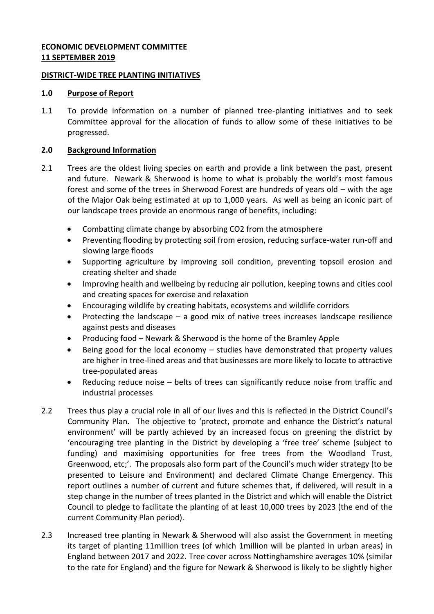## **ECONOMIC DEVELOPMENT COMMITTEE 11 SEPTEMBER 2019**

#### **DISTRICT-WIDE TREE PLANTING INITIATIVES**

## **1.0 Purpose of Report**

1.1 To provide information on a number of planned tree-planting initiatives and to seek Committee approval for the allocation of funds to allow some of these initiatives to be progressed.

## **2.0 Background Information**

- 2.1 Trees are the oldest living species on earth and provide a link between the past, present and future. Newark & Sherwood is home to what is probably the world's most famous forest and some of the trees in Sherwood Forest are hundreds of years old – with the age of the Major Oak being estimated at up to 1,000 years. As well as being an iconic part of our landscape trees provide an enormous range of benefits, including:
	- Combatting climate change by absorbing CO2 from the atmosphere
	- Preventing flooding by protecting soil from erosion, reducing surface-water run-off and slowing large floods
	- Supporting agriculture by improving soil condition, preventing topsoil erosion and creating shelter and shade
	- Improving health and wellbeing by reducing air pollution, keeping towns and cities cool and creating spaces for exercise and relaxation
	- Encouraging wildlife by creating habitats, ecosystems and wildlife corridors
	- Protecting the landscape a good mix of native trees increases landscape resilience against pests and diseases
	- Producing food Newark & Sherwood is the home of the Bramley Apple
	- Being good for the local economy studies have demonstrated that property values are higher in tree-lined areas and that businesses are more likely to locate to attractive tree-populated areas
	- Reducing reduce noise belts of trees can significantly reduce noise from traffic and industrial processes
- 2.2 Trees thus play a crucial role in all of our lives and this is reflected in the District Council's Community Plan. The objective to 'protect, promote and enhance the District's natural environment' will be partly achieved by an increased focus on greening the district by 'encouraging tree planting in the District by developing a 'free tree' scheme (subject to funding) and maximising opportunities for free trees from the Woodland Trust, Greenwood, etc;'. The proposals also form part of the Council's much wider strategy (to be presented to Leisure and Environment) and declared Climate Change Emergency. This report outlines a number of current and future schemes that, if delivered, will result in a step change in the number of trees planted in the District and which will enable the District Council to pledge to facilitate the planting of at least 10,000 trees by 2023 (the end of the current Community Plan period).
- 2.3 Increased tree planting in Newark & Sherwood will also assist the Government in meeting its target of planting 11million trees (of which 1million will be planted in urban areas) in England between 2017 and 2022. Tree cover across Nottinghamshire averages 10% (similar to the rate for England) and the figure for Newark & Sherwood is likely to be slightly higher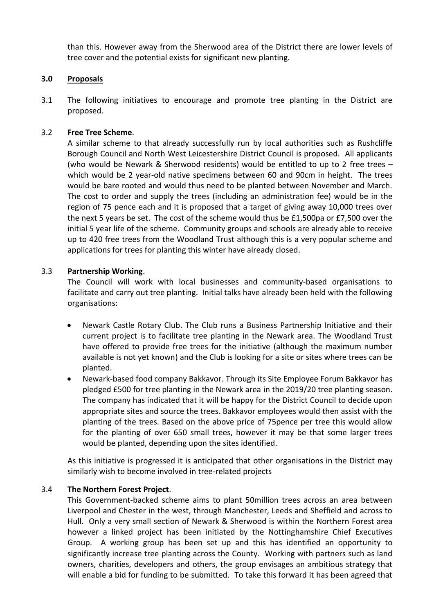than this. However away from the Sherwood area of the District there are lower levels of tree cover and the potential exists for significant new planting.

## **3.0 Proposals**

3.1 The following initiatives to encourage and promote tree planting in the District are proposed.

## 3.2 **Free Tree Scheme**.

A similar scheme to that already successfully run by local authorities such as Rushcliffe Borough Council and North West Leicestershire District Council is proposed. All applicants (who would be Newark & Sherwood residents) would be entitled to up to 2 free trees – which would be 2 year-old native specimens between 60 and 90cm in height. The trees would be bare rooted and would thus need to be planted between November and March. The cost to order and supply the trees (including an administration fee) would be in the region of 75 pence each and it is proposed that a target of giving away 10,000 trees over the next 5 years be set. The cost of the scheme would thus be £1,500pa or £7,500 over the initial 5 year life of the scheme. Community groups and schools are already able to receive up to 420 free trees from the Woodland Trust although this is a very popular scheme and applications for trees for planting this winter have already closed.

## 3.3 **Partnership Working**.

The Council will work with local businesses and community-based organisations to facilitate and carry out tree planting. Initial talks have already been held with the following organisations:

- Newark Castle Rotary Club. The Club runs a Business Partnership Initiative and their current project is to facilitate tree planting in the Newark area. The Woodland Trust have offered to provide free trees for the initiative (although the maximum number available is not yet known) and the Club is looking for a site or sites where trees can be planted.
- Newark-based food company Bakkavor. Through its Site Employee Forum Bakkavor has pledged £500 for tree planting in the Newark area in the 2019/20 tree planting season. The company has indicated that it will be happy for the District Council to decide upon appropriate sites and source the trees. Bakkavor employees would then assist with the planting of the trees. Based on the above price of 75pence per tree this would allow for the planting of over 650 small trees, however it may be that some larger trees would be planted, depending upon the sites identified.

As this initiative is progressed it is anticipated that other organisations in the District may similarly wish to become involved in tree-related projects

#### 3.4 **The Northern Forest Project**.

This Government-backed scheme aims to plant 50million trees across an area between Liverpool and Chester in the west, through Manchester, Leeds and Sheffield and across to Hull. Only a very small section of Newark & Sherwood is within the Northern Forest area however a linked project has been initiated by the Nottinghamshire Chief Executives Group. A working group has been set up and this has identified an opportunity to significantly increase tree planting across the County. Working with partners such as land owners, charities, developers and others, the group envisages an ambitious strategy that will enable a bid for funding to be submitted. To take this forward it has been agreed that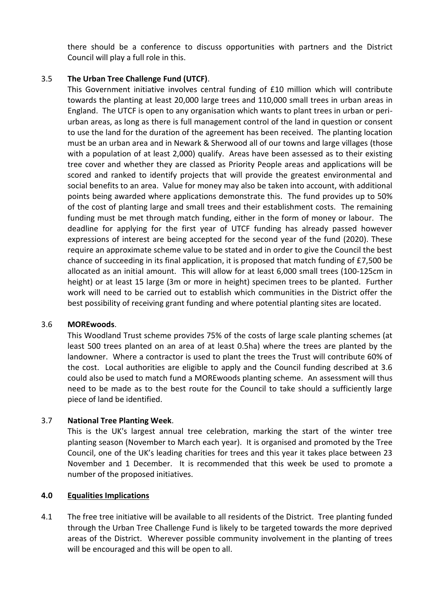there should be a conference to discuss opportunities with partners and the District Council will play a full role in this.

# 3.5 **The Urban Tree Challenge Fund (UTCF)**.

This Government initiative involves central funding of £10 million which will contribute towards the planting at least 20,000 large trees and 110,000 small trees in urban areas in England. The UTCF is open to any organisation which wants to plant trees in urban or periurban areas, as long as there is full management control of the land in question or consent to use the land for the duration of the agreement has been received. The planting location must be an urban area and in Newark & Sherwood all of our towns and large villages (those with a population of at least 2,000) qualify. Areas have been assessed as to their existing tree cover and whether they are classed as Priority People areas and applications will be scored and ranked to identify projects that will provide the greatest environmental and social benefits to an area. Value for money may also be taken into account, with additional points being awarded where applications demonstrate this. The fund provides up to 50% of the cost of planting large and small trees and their establishment costs. The remaining funding must be met through match funding, either in the form of money or labour. The deadline for applying for the first year of UTCF funding has already passed however expressions of interest are being accepted for the second year of the fund (2020). These require an approximate scheme value to be stated and in order to give the Council the best chance of succeeding in its final application, it is proposed that match funding of £7,500 be allocated as an initial amount. This will allow for at least 6,000 small trees (100-125cm in height) or at least 15 large (3m or more in height) specimen trees to be planted. Further work will need to be carried out to establish which communities in the District offer the best possibility of receiving grant funding and where potential planting sites are located.

#### 3.6 **MOREwoods**.

This Woodland Trust scheme provides 75% of the costs of large scale planting schemes (at least 500 trees planted on an area of at least 0.5ha) where the trees are planted by the landowner. Where a contractor is used to plant the trees the Trust will contribute 60% of the cost. Local authorities are eligible to apply and the Council funding described at 3.6 could also be used to match fund a MOREwoods planting scheme. An assessment will thus need to be made as to the best route for the Council to take should a sufficiently large piece of land be identified.

# 3.7 **National Tree Planting Week**.

This is the UK's largest annual tree celebration, marking the start of the winter tree planting season (November to March each year). It is organised and promoted by the Tree Council, one of the UK's leading charities for trees and this year it takes place between 23 November and 1 December. It is recommended that this week be used to promote a number of the proposed initiatives.

#### **4.0 Equalities Implications**

4.1 The free tree initiative will be available to all residents of the District. Tree planting funded through the Urban Tree Challenge Fund is likely to be targeted towards the more deprived areas of the District. Wherever possible community involvement in the planting of trees will be encouraged and this will be open to all.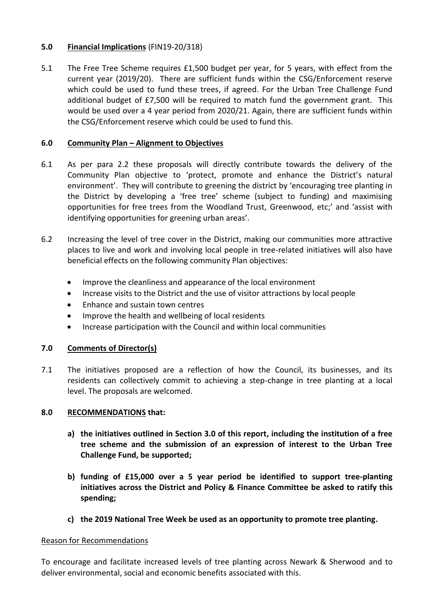# **5.0 Financial Implications** (FIN19-20/318)

5.1 The Free Tree Scheme requires £1,500 budget per year, for 5 years, with effect from the current year (2019/20). There are sufficient funds within the CSG/Enforcement reserve which could be used to fund these trees, if agreed. For the Urban Tree Challenge Fund additional budget of £7,500 will be required to match fund the government grant. This would be used over a 4 year period from 2020/21. Again, there are sufficient funds within the CSG/Enforcement reserve which could be used to fund this.

# **6.0 Community Plan – Alignment to Objectives**

- 6.1 As per para 2.2 these proposals will directly contribute towards the delivery of the Community Plan objective to 'protect, promote and enhance the District's natural environment'. They will contribute to greening the district by 'encouraging tree planting in the District by developing a 'free tree' scheme (subject to funding) and maximising opportunities for free trees from the Woodland Trust, Greenwood, etc;' and 'assist with identifying opportunities for greening urban areas'.
- 6.2 Increasing the level of tree cover in the District, making our communities more attractive places to live and work and involving local people in tree-related initiatives will also have beneficial effects on the following community Plan objectives:
	- Improve the cleanliness and appearance of the local environment
	- Increase visits to the District and the use of visitor attractions by local people
	- Enhance and sustain town centres
	- Improve the health and wellbeing of local residents
	- Increase participation with the Council and within local communities

# **7.0 Comments of Director(s)**

7.1 The initiatives proposed are a reflection of how the Council, its businesses, and its residents can collectively commit to achieving a step-change in tree planting at a local level. The proposals are welcomed.

#### **8.0 RECOMMENDATIONS that:**

- **a) the initiatives outlined in Section 3.0 of this report, including the institution of a free tree scheme and the submission of an expression of interest to the Urban Tree Challenge Fund, be supported;**
- **b) funding of £15,000 over a 5 year period be identified to support tree-planting initiatives across the District and Policy & Finance Committee be asked to ratify this spending;**
- **c) the 2019 National Tree Week be used as an opportunity to promote tree planting.**

#### Reason for Recommendations

To encourage and facilitate increased levels of tree planting across Newark & Sherwood and to deliver environmental, social and economic benefits associated with this.